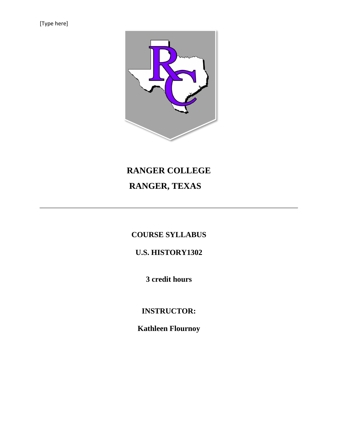[Type here]



# **RANGER COLLEGE RANGER, TEXAS**

# **COURSE SYLLABUS**

# **U.S. HISTORY1302**

**3 credit hours**

**INSTRUCTOR:**

**Kathleen Flournoy**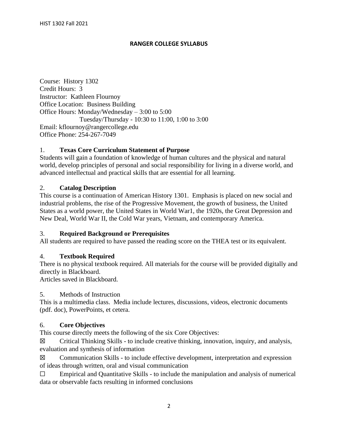#### **RANGER COLLEGE SYLLABUS**

Course: History 1302 Credit Hours: 3 Instructor: Kathleen Flournoy Office Location: Business Building Office Hours: Monday/Wednesday – 3:00 to 5:00 Tuesday/Thursday - 10:30 to 11:00, 1:00 to 3:00 Email: kflournoy@rangercollege.edu Office Phone: 254-267-7049

#### 1. **Texas Core Curriculum Statement of Purpose**

Students will gain a foundation of knowledge of human cultures and the physical and natural world, develop principles of personal and social responsibility for living in a diverse world, and advanced intellectual and practical skills that are essential for all learning.

#### 2. **Catalog Description**

This course is a continuation of American History 1301. Emphasis is placed on new social and industrial problems, the rise of the Progressive Movement, the growth of business, the United States as a world power, the United States in World War1, the 1920s, the Great Depression and New Deal, World War II, the Cold War years, Vietnam, and contemporary America.

#### 3. **Required Background or Prerequisites**

All students are required to have passed the reading score on the THEA test or its equivalent.

## 4. **Textbook Required**

There is no physical textbook required. All materials for the course will be provided digitally and directly in Blackboard.

Articles saved in Blackboard.

#### 5. Methods of Instruction

This is a multimedia class. Media include lectures, discussions, videos, electronic documents (pdf. doc), PowerPoints, et cetera.

#### 6. **Core Objectives**

This course directly meets the following of the six Core Objectives:

 $\boxtimes$  Critical Thinking Skills - to include creative thinking, innovation, inquiry, and analysis, evaluation and synthesis of information

☒ Communication Skills - to include effective development, interpretation and expression of ideas through written, oral and visual communication

 $\Box$  Empirical and Quantitative Skills - to include the manipulation and analysis of numerical data or observable facts resulting in informed conclusions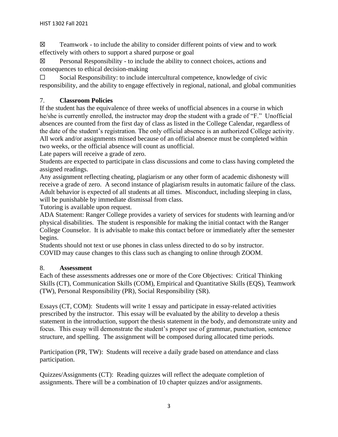$\boxtimes$  Teamwork - to include the ability to consider different points of view and to work effectively with others to support a shared purpose or goal

 $\boxtimes$  Personal Responsibility - to include the ability to connect choices, actions and consequences to ethical decision-making

☐ Social Responsibility: to include intercultural competence, knowledge of civic responsibility, and the ability to engage effectively in regional, national, and global communities

## 7. **Classroom Policies**

If the student has the equivalence of three weeks of unofficial absences in a course in which he/she is currently enrolled, the instructor may drop the student with a grade of "F." Unofficial absences are counted from the first day of class as listed in the College Calendar, regardless of the date of the student's registration. The only official absence is an authorized College activity. All work and/or assignments missed because of an official absence must be completed within two weeks, or the official absence will count as unofficial.

Late papers will receive a grade of zero.

Students are expected to participate in class discussions and come to class having completed the assigned readings.

Any assignment reflecting cheating, plagiarism or any other form of academic dishonesty will receive a grade of zero. A second instance of plagiarism results in automatic failure of the class. Adult behavior is expected of all students at all times. Misconduct, including sleeping in class, will be punishable by immediate dismissal from class.

Tutoring is available upon request.

ADA Statement: Ranger College provides a variety of services for students with learning and/or physical disabilities. The student is responsible for making the initial contact with the Ranger College Counselor. It is advisable to make this contact before or immediately after the semester begins.

Students should not text or use phones in class unless directed to do so by instructor. COVID may cause changes to this class such as changing to online through ZOOM.

## 8. **Assessment**

Each of these assessments addresses one or more of the Core Objectives: Critical Thinking Skills (CT), Communication Skills (COM), Empirical and Quantitative Skills (EQS), Teamwork (TW), Personal Responsibility (PR), Social Responsibility (SR).

Essays (CT, COM): Students will write 1 essay and participate in essay-related activities prescribed by the instructor. This essay will be evaluated by the ability to develop a thesis statement in the introduction, support the thesis statement in the body, and demonstrate unity and focus. This essay will demonstrate the student's proper use of grammar, punctuation, sentence structure, and spelling. The assignment will be composed during allocated time periods.

Participation (PR, TW): Students will receive a daily grade based on attendance and class participation.

Quizzes/Assignments (CT): Reading quizzes will reflect the adequate completion of assignments. There will be a combination of 10 chapter quizzes and/or assignments.